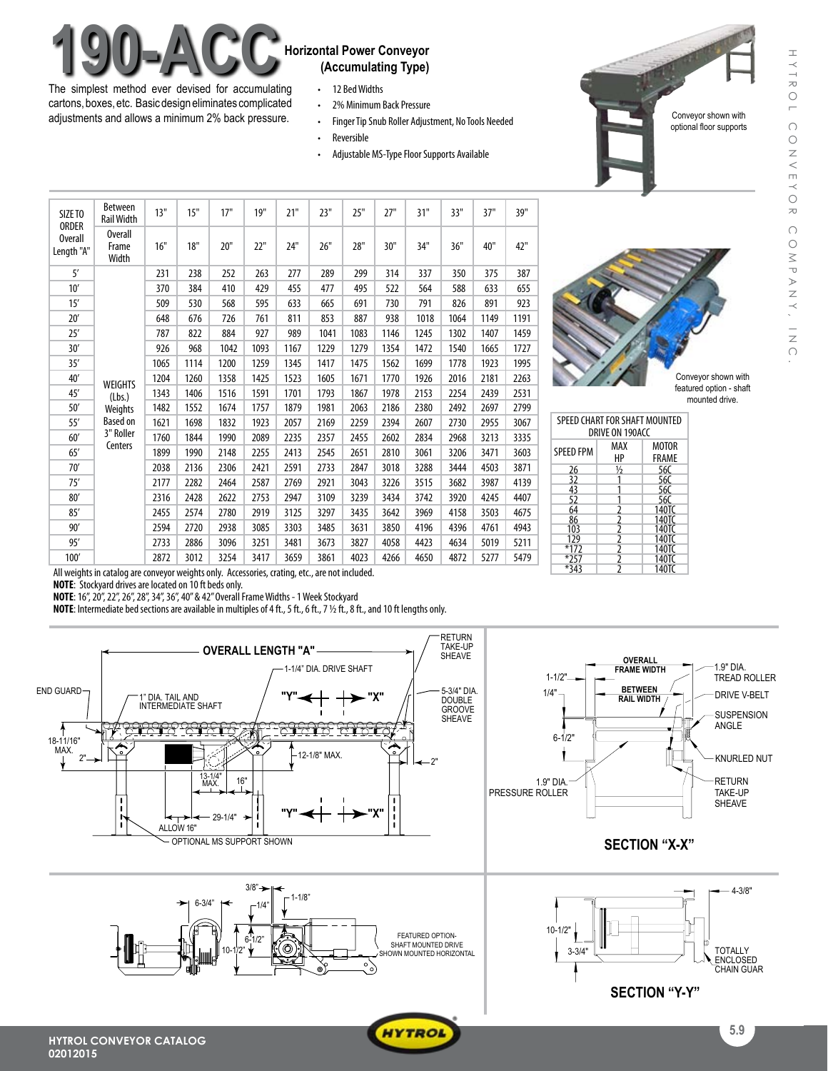# **190-ACC** Horizontal Power Conveyor

The simplest method ever devised for accumulating cartons, boxes, etc. Basic design eliminates complicated adjustments and allows a minimum 2% back pressure.

## **(Accumulating Type)**

- • 12 BedWidths
- 2% Minimum Back Pressure
- Finger Tip Snub Roller Adjustment, No Tools Needed
- • Reversible
- Adjustable MS-Type Floor Supports Available

|  | SIZE TO                        | Between<br><b>Rail Width</b>                                                   | 13"  | 15"  | 17"  | 19"  | 21"  | 23"  | 25"  | 27"  | 31"  | 33"  | 37"  | 39"  |
|--|--------------------------------|--------------------------------------------------------------------------------|------|------|------|------|------|------|------|------|------|------|------|------|
|  | ORDER<br>Overall<br>Length "A" | Overall<br>Frame<br>Width                                                      | 16"  | 18"  | 20"  | 22"  | 24"  | 26"  | 28"  | 30"  | 34"  | 36"  | 40"  | 42"  |
|  | 5'                             | <b>WEIGHTS</b><br>(Lbs.)<br>Weights<br><b>Based on</b><br>3" Roller<br>Centers | 231  | 238  | 252  | 263  | 277  | 289  | 299  | 314  | 337  | 350  | 375  | 387  |
|  | 10'                            |                                                                                | 370  | 384  | 410  | 429  | 455  | 477  | 495  | 522  | 564  | 588  | 633  | 655  |
|  | 15'                            |                                                                                | 509  | 530  | 568  | 595  | 633  | 665  | 691  | 730  | 791  | 826  | 891  | 923  |
|  | 20'                            |                                                                                | 648  | 676  | 726  | 761  | 811  | 853  | 887  | 938  | 1018 | 1064 | 1149 | 1191 |
|  | 25'                            |                                                                                | 787  | 822  | 884  | 927  | 989  | 1041 | 1083 | 1146 | 1245 | 1302 | 1407 | 1459 |
|  | 30'                            |                                                                                | 926  | 968  | 1042 | 1093 | 1167 | 1229 | 1279 | 1354 | 1472 | 1540 | 1665 | 1727 |
|  | 35'                            |                                                                                | 1065 | 1114 | 1200 | 1259 | 1345 | 1417 | 1475 | 1562 | 1699 | 1778 | 1923 | 1995 |
|  | 40'                            |                                                                                | 1204 | 1260 | 1358 | 1425 | 1523 | 1605 | 1671 | 1770 | 1926 | 2016 | 2181 | 2263 |
|  | 45'                            |                                                                                | 1343 | 1406 | 1516 | 1591 | 1701 | 1793 | 1867 | 1978 | 2153 | 2254 | 2439 | 2531 |
|  | 50'                            |                                                                                | 1482 | 1552 | 1674 | 1757 | 1879 | 1981 | 2063 | 2186 | 2380 | 2492 | 2697 | 2799 |
|  | 55'                            |                                                                                | 1621 | 1698 | 1832 | 1923 | 2057 | 2169 | 2259 | 2394 | 2607 | 2730 | 2955 | 3067 |
|  | 60'                            |                                                                                | 1760 | 1844 | 1990 | 2089 | 2235 | 2357 | 2455 | 2602 | 2834 | 2968 | 3213 | 3335 |
|  | 65'                            |                                                                                | 1899 | 1990 | 2148 | 2255 | 2413 | 2545 | 2651 | 2810 | 3061 | 3206 | 3471 | 3603 |
|  | 70'                            |                                                                                | 2038 | 2136 | 2306 | 2421 | 2591 | 2733 | 2847 | 3018 | 3288 | 3444 | 4503 | 3871 |
|  | 75'                            |                                                                                | 2177 | 2282 | 2464 | 2587 | 2769 | 2921 | 3043 | 3226 | 3515 | 3682 | 3987 | 4139 |
|  | 80'                            |                                                                                | 2316 | 2428 | 2622 | 2753 | 2947 | 3109 | 3239 | 3434 | 3742 | 3920 | 4245 | 4407 |
|  | 85'                            |                                                                                | 2455 | 2574 | 2780 | 2919 | 3125 | 3297 | 3435 | 3642 | 3969 | 4158 | 3503 | 4675 |
|  | 90'                            |                                                                                | 2594 | 2720 | 2938 | 3085 | 3303 | 3485 | 3631 | 3850 | 4196 | 4396 | 4761 | 4943 |
|  | 95'                            |                                                                                | 2733 | 2886 | 3096 | 3251 | 3481 | 3673 | 3827 | 4058 | 4423 | 4634 | 5019 | 5211 |
|  | 100'                           |                                                                                | 2872 | 3012 | 3254 | 3417 | 3659 | 3861 | 4023 | 4266 | 4650 | 4872 | 5277 | 5479 |



Conveyor shown with featured option - shaft mounted drive.

Conveyor shown with optional floor supports

| SPEED CHART FOR SHAFT MOUNTED<br>DRIVE ON 190ACC |                                           |                       |  |  |  |  |
|--------------------------------------------------|-------------------------------------------|-----------------------|--|--|--|--|
| <b>SPEED FPM</b>                                 | MAX<br>HP                                 | <b>MOTOR</b><br>FRAME |  |  |  |  |
| 26                                               | $\frac{1}{2}$                             | 56C                   |  |  |  |  |
| 32                                               |                                           | 56C                   |  |  |  |  |
| 43                                               |                                           | 56C                   |  |  |  |  |
| 52                                               |                                           | 56C                   |  |  |  |  |
| 64                                               |                                           | 140TC                 |  |  |  |  |
| 86                                               |                                           | 140TC                 |  |  |  |  |
| 103                                              |                                           | 140TC                 |  |  |  |  |
| 129                                              |                                           | 140TC                 |  |  |  |  |
| $*172$                                           | $\frac{2}{2}$ $\frac{2}{2}$ $\frac{2}{2}$ | 140TC                 |  |  |  |  |
| $*257$                                           | $\frac{2}{2}$                             | 140TC                 |  |  |  |  |
| $*343$                                           |                                           | 140TC                 |  |  |  |  |

All weights in catalog are conveyor weights only. Accessories, crating, etc., are not included.

**NOTE:** Stockyard drives are located on 10 ft beds only.

**02012015**

**NOTE**: 16", 20", 22", 26", 28", 34", 36", 40" & 42" Overall Frame Widths - 1 Week Stockyard

**NOTE**: Intermediate bed sections are available in multiples of 4 ft., 5 ft., 6 ft., 7 1/2 ft., 8 ft., and 10 ft lengths only.